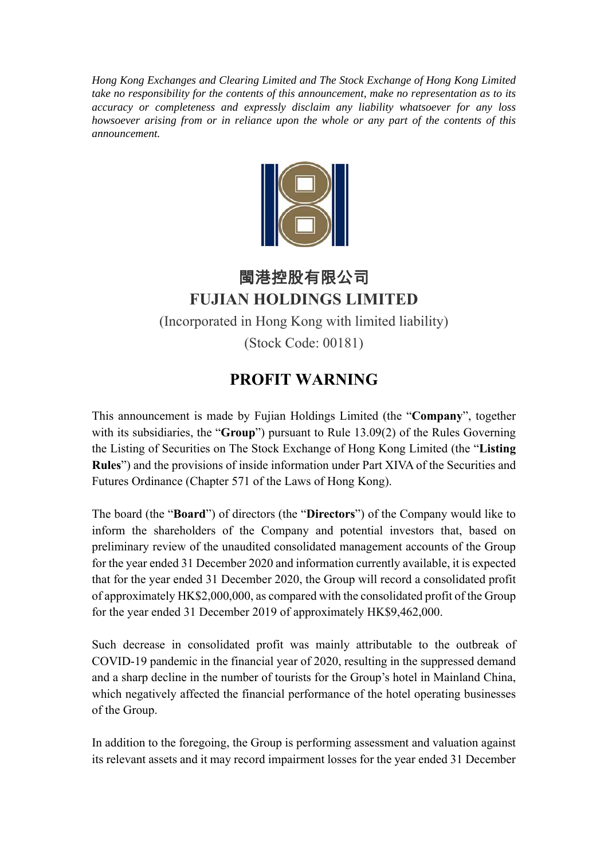*Hong Kong Exchanges and Clearing Limited and The Stock Exchange of Hong Kong Limited take no responsibility for the contents of this announcement, make no representation as to its accuracy or completeness and expressly disclaim any liability whatsoever for any loss howsoever arising from or in reliance upon the whole or any part of the contents of this announcement.*



## 閩港控股有限公司 **FUJIAN HOLDINGS LIMITED**  (Incorporated in Hong Kong with limited liability) (Stock Code: 00181)

## **PROFIT WARNING**

This announcement is made by Fujian Holdings Limited (the "**Company**", together with its subsidiaries, the "**Group**") pursuant to Rule 13.09(2) of the Rules Governing the Listing of Securities on The Stock Exchange of Hong Kong Limited (the "**Listing Rules**") and the provisions of inside information under Part XIVA of the Securities and Futures Ordinance (Chapter 571 of the Laws of Hong Kong).

The board (the "**Board**") of directors (the "**Directors**") of the Company would like to inform the shareholders of the Company and potential investors that, based on preliminary review of the unaudited consolidated management accounts of the Group for the year ended 31 December 2020 and information currently available, it is expected that for the year ended 31 December 2020, the Group will record a consolidated profit of approximately HK\$2,000,000, as compared with the consolidated profit of the Group for the year ended 31 December 2019 of approximately HK\$9,462,000.

Such decrease in consolidated profit was mainly attributable to the outbreak of COVID-19 pandemic in the financial year of 2020, resulting in the suppressed demand and a sharp decline in the number of tourists for the Group's hotel in Mainland China, which negatively affected the financial performance of the hotel operating businesses of the Group.

In addition to the foregoing, the Group is performing assessment and valuation against its relevant assets and it may record impairment losses for the year ended 31 December